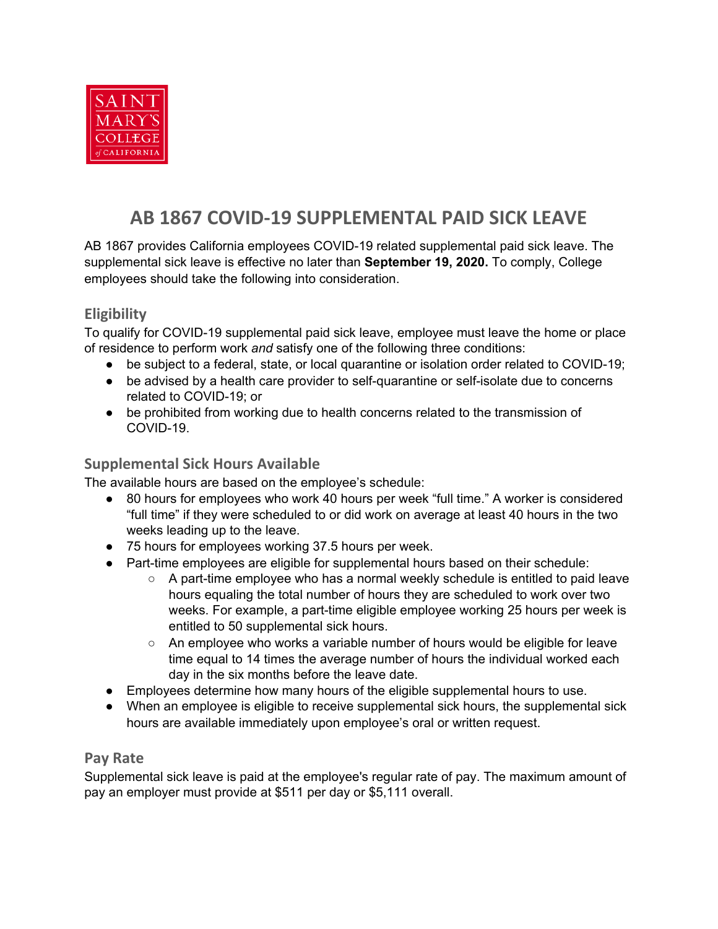

# **AB 1867 COVID-19 SUPPLEMENTAL PAID SICK LEAVE**

AB 1867 provides California employees COVID-19 related supplemental paid sick leave. The supplemental sick leave is effective no later than **September 19, 2020.** To comply, College employees should take the following into consideration.

## **Eligibility**

To qualify for COVID-19 supplemental paid sick leave, employee must leave the home or place of residence to perform work *and* satisfy one of the following three conditions:

- be subject to a federal, state, or local quarantine or isolation order related to COVID-19;
- be advised by a health care provider to self-quarantine or self-isolate due to concerns related to COVID-19; or
- be prohibited from working due to health concerns related to the transmission of COVID-19.

### **Supplemental Sick Hours Available**

The available hours are based on the employee's schedule:

- 80 hours for employees who work 40 hours per week "full time." A worker is considered "full time" if they were scheduled to or did work on average at least 40 hours in the two weeks leading up to the leave.
- 75 hours for employees working 37.5 hours per week.
- Part-time employees are eligible for supplemental hours based on their schedule:
	- $\circ$  A part-time employee who has a normal weekly schedule is entitled to paid leave hours equaling the total number of hours they are scheduled to work over two weeks. For example, a part-time eligible employee working 25 hours per week is entitled to 50 supplemental sick hours.
	- $\circ$  An employee who works a variable number of hours would be eligible for leave time equal to 14 times the average number of hours the individual worked each day in the six months before the leave date.
- Employees determine how many hours of the eligible supplemental hours to use.
- When an employee is eligible to receive supplemental sick hours, the supplemental sick hours are available immediately upon employee's oral or written request.

#### **Pay Rate**

Supplemental sick leave is paid at the employee's regular rate of pay. The maximum amount of pay an employer must provide at \$511 per day or \$5,111 overall.